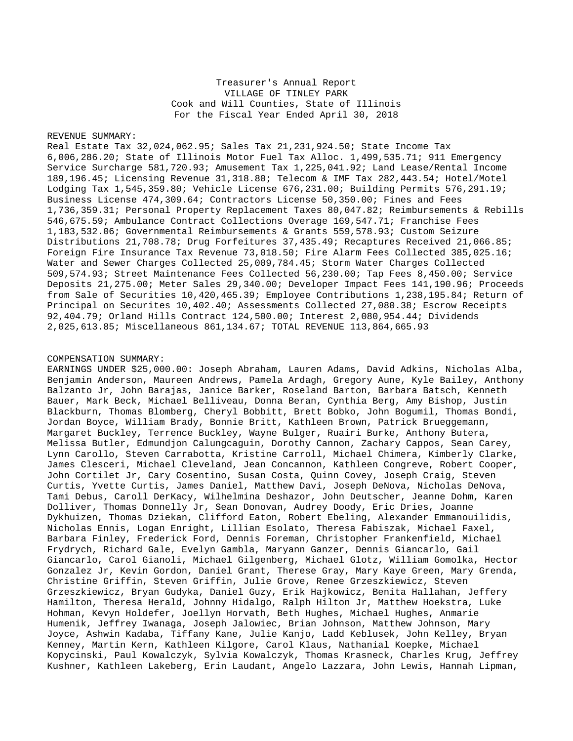Treasurer's Annual Report VILLAGE OF TINLEY PARK Cook and Will Counties, State of Illinois For the Fiscal Year Ended April 30, 2018

## REVENUE SUMMARY:

Real Estate Tax 32,024,062.95; Sales Tax 21,231,924.50; State Income Tax 6,006,286.20; State of Illinois Motor Fuel Tax Alloc. 1,499,535.71; 911 Emergency Service Surcharge 581,720.93; Amusement Tax 1,225,041.92; Land Lease/Rental Income 189,196.45; Licensing Revenue 31,318.80; Telecom & IMF Tax 282,443.54; Hotel/Motel Lodging Tax 1,545,359.80; Vehicle License 676,231.00; Building Permits 576,291.19; Business License 474,309.64; Contractors License 50,350.00; Fines and Fees 1,736,359.31; Personal Property Replacement Taxes 80,047.82; Reimbursements & Rebills 546,675.59; Ambulance Contract Collections Overage 169,547.71; Franchise Fees 1,183,532.06; Governmental Reimbursements & Grants 559,578.93; Custom Seizure Distributions 21,708.78; Drug Forfeitures 37,435.49; Recaptures Received 21,066.85; Foreign Fire Insurance Tax Revenue 73,018.50; Fire Alarm Fees Collected 385,025.16; Water and Sewer Charges Collected 25,009,784.45; Storm Water Charges Collected 509,574.93; Street Maintenance Fees Collected 56,230.00; Tap Fees 8,450.00; Service Deposits 21,275.00; Meter Sales 29,340.00; Developer Impact Fees 141,190.96; Proceeds from Sale of Securities 10,420,465.39; Employee Contributions 1,238,195.84; Return of Principal on Securites 10,402.40; Assessments Collected 27,080.38; Escrow Receipts 92,404.79; Orland Hills Contract 124,500.00; Interest 2,080,954.44; Dividends 2,025,613.85; Miscellaneous 861,134.67; TOTAL REVENUE 113,864,665.93

## COMPENSATION SUMMARY:

EARNINGS UNDER \$25,000.00: Joseph Abraham, Lauren Adams, David Adkins, Nicholas Alba, Benjamin Anderson, Maureen Andrews, Pamela Ardagh, Gregory Aune, Kyle Bailey, Anthony Balzanto Jr, John Barajas, Janice Barker, Roseland Barton, Barbara Batsch, Kenneth Bauer, Mark Beck, Michael Belliveau, Donna Beran, Cynthia Berg, Amy Bishop, Justin Blackburn, Thomas Blomberg, Cheryl Bobbitt, Brett Bobko, John Bogumil, Thomas Bondi, Jordan Boyce, William Brady, Bonnie Britt, Kathleen Brown, Patrick Brueggemann, Margaret Buckley, Terrence Buckley, Wayne Bulger, Ruairi Burke, Anthony Butera, Melissa Butler, Edmundjon Calungcaguin, Dorothy Cannon, Zachary Cappos, Sean Carey, Lynn Carollo, Steven Carrabotta, Kristine Carroll, Michael Chimera, Kimberly Clarke, James Clesceri, Michael Cleveland, Jean Concannon, Kathleen Congreve, Robert Cooper, John Cortilet Jr, Cary Cosentino, Susan Costa, Quinn Covey, Joseph Craig, Steven Curtis, Yvette Curtis, James Daniel, Matthew Davi, Joseph DeNova, Nicholas DeNova, Tami Debus, Caroll DerKacy, Wilhelmina Deshazor, John Deutscher, Jeanne Dohm, Karen Dolliver, Thomas Donnelly Jr, Sean Donovan, Audrey Doody, Eric Dries, Joanne Dykhuizen, Thomas Dziekan, Clifford Eaton, Robert Ebeling, Alexander Emmanouilidis, Nicholas Ennis, Logan Enright, Lillian Esolato, Theresa Fabiszak, Michael Faxel, Barbara Finley, Frederick Ford, Dennis Foreman, Christopher Frankenfield, Michael Frydrych, Richard Gale, Evelyn Gambla, Maryann Ganzer, Dennis Giancarlo, Gail Giancarlo, Carol Gianoli, Michael Gilgenberg, Michael Glotz, William Gomolka, Hector Gonzalez Jr, Kevin Gordon, Daniel Grant, Therese Gray, Mary Kaye Green, Mary Grenda, Christine Griffin, Steven Griffin, Julie Grove, Renee Grzeszkiewicz, Steven Grzeszkiewicz, Bryan Gudyka, Daniel Guzy, Erik Hajkowicz, Benita Hallahan, Jeffery Hamilton, Theresa Herald, Johnny Hidalgo, Ralph Hilton Jr, Matthew Hoekstra, Luke Hohman, Kevyn Holdefer, Joellyn Horvath, Beth Hughes, Michael Hughes, Anmarie Humenik, Jeffrey Iwanaga, Joseph Jalowiec, Brian Johnson, Matthew Johnson, Mary Joyce, Ashwin Kadaba, Tiffany Kane, Julie Kanjo, Ladd Keblusek, John Kelley, Bryan Kenney, Martin Kern, Kathleen Kilgore, Carol Klaus, Nathanial Koepke, Michael Kopycinski, Paul Kowalczyk, Sylvia Kowalczyk, Thomas Krasneck, Charles Krug, Jeffrey Kushner, Kathleen Lakeberg, Erin Laudant, Angelo Lazzara, John Lewis, Hannah Lipman,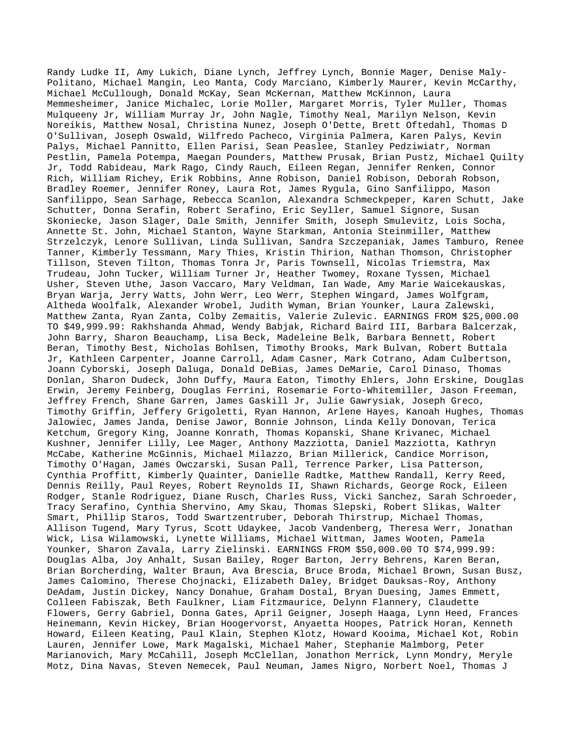Randy Ludke II, Amy Lukich, Diane Lynch, Jeffrey Lynch, Bonnie Mager, Denise Maly-Politano, Michael Mangin, Leo Manta, Cody Marciano, Kimberly Maurer, Kevin McCarthy, Michael McCullough, Donald McKay, Sean McKernan, Matthew McKinnon, Laura Memmesheimer, Janice Michalec, Lorie Moller, Margaret Morris, Tyler Muller, Thomas Mulqueeny Jr, William Murray Jr, John Nagle, Timothy Neal, Marilyn Nelson, Kevin Noreikis, Matthew Nosal, Christina Nunez, Joseph O'Dette, Brett Oftedahl, Thomas D O'Sullivan, Joseph Oswald, Wilfredo Pacheco, Virginia Palmera, Karen Palys, Kevin Palys, Michael Pannitto, Ellen Parisi, Sean Peaslee, Stanley Pedziwiatr, Norman Pestlin, Pamela Potempa, Maegan Pounders, Matthew Prusak, Brian Pustz, Michael Quilty Jr, Todd Rabideau, Mark Rago, Cindy Rauch, Eileen Regan, Jennifer Renken, Connor Rich, William Richey, Erik Robbins, Anne Robison, Daniel Robison, Deborah Robson, Bradley Roemer, Jennifer Roney, Laura Rot, James Rygula, Gino Sanfilippo, Mason Sanfilippo, Sean Sarhage, Rebecca Scanlon, Alexandra Schmeckpeper, Karen Schutt, Jake Schutter, Donna Serafin, Robert Serafino, Eric Seyller, Samuel Signore, Susan Skoniecke, Jason Slager, Dale Smith, Jennifer Smith, Joseph Smulevitz, Lois Socha, Annette St. John, Michael Stanton, Wayne Starkman, Antonia Steinmiller, Matthew Strzelczyk, Lenore Sullivan, Linda Sullivan, Sandra Szczepaniak, James Tamburo, Renee Tanner, Kimberly Tessmann, Mary Thies, Kristin Thirion, Nathan Thomson, Christopher Tillson, Steven Tilton, Thomas Tonra Jr, Paris Townsell, Nicolas Triemstra, Max Trudeau, John Tucker, William Turner Jr, Heather Twomey, Roxane Tyssen, Michael Usher, Steven Uthe, Jason Vaccaro, Mary Veldman, Ian Wade, Amy Marie Waicekauskas, Bryan Warja, Jerry Watts, John Werr, Leo Werr, Stephen Wingard, James Wolfgram, Altheda Woolfalk, Alexander Wrobel, Judith Wyman, Brian Younker, Laura Zalewski, Matthew Zanta, Ryan Zanta, Colby Zemaitis, Valerie Zulevic. EARNINGS FROM \$25,000.00 TO \$49,999.99: Rakhshanda Ahmad, Wendy Babjak, Richard Baird III, Barbara Balcerzak, John Barry, Sharon Beauchamp, Lisa Beck, Madeleine Belk, Barbara Bennett, Robert Beran, Timothy Best, Nicholas Bohlsen, Timothy Brooks, Mark Bulvan, Robert Buttala Jr, Kathleen Carpenter, Joanne Carroll, Adam Casner, Mark Cotrano, Adam Culbertson, Joann Cyborski, Joseph Daluga, Donald DeBias, James DeMarie, Carol Dinaso, Thomas Donlan, Sharon Dudeck, John Duffy, Maura Eaton, Timothy Ehlers, John Erskine, Douglas Erwin, Jeremy Feinberg, Douglas Ferrini, Rosemarie Forto-Whitemiller, Jason Freeman, Jeffrey French, Shane Garren, James Gaskill Jr, Julie Gawrysiak, Joseph Greco, Timothy Griffin, Jeffery Grigoletti, Ryan Hannon, Arlene Hayes, Kanoah Hughes, Thomas Jalowiec, James Janda, Denise Jawor, Bonnie Johnson, Linda Kelly Donovan, Terica Ketchum, Gregory King, Joanne Konrath, Thomas Kopanski, Shane Krivanec, Michael Kushner, Jennifer Lilly, Lee Mager, Anthony Mazziotta, Daniel Mazziotta, Kathryn McCabe, Katherine McGinnis, Michael Milazzo, Brian Millerick, Candice Morrison, Timothy O'Hagan, James Owczarski, Susan Pall, Terrence Parker, Lisa Patterson, Cynthia Proffitt, Kimberly Quainter, Danielle Radtke, Matthew Randall, Kerry Reed, Dennis Reilly, Paul Reyes, Robert Reynolds II, Shawn Richards, George Rock, Eileen Rodger, Stanle Rodriguez, Diane Rusch, Charles Russ, Vicki Sanchez, Sarah Schroeder, Tracy Serafino, Cynthia Shervino, Amy Skau, Thomas Slepski, Robert Slikas, Walter Smart, Phillip Staros, Todd Swartzentruber, Deborah Thirstrup, Michael Thomas, Allison Tugend, Mary Tyrus, Scott Udaykee, Jacob Vandenberg, Theresa Werr, Jonathan Wick, Lisa Wilamowski, Lynette Williams, Michael Wittman, James Wooten, Pamela Younker, Sharon Zavala, Larry Zielinski. EARNINGS FROM \$50,000.00 TO \$74,999.99: Douglas Alba, Joy Anhalt, Susan Bailey, Roger Barton, Jerry Behrens, Karen Beran, Brian Borcherding, Walter Braun, Ava Brescia, Bruce Broda, Michael Brown, Susan Busz, James Calomino, Therese Chojnacki, Elizabeth Daley, Bridget Dauksas-Roy, Anthony DeAdam, Justin Dickey, Nancy Donahue, Graham Dostal, Bryan Duesing, James Emmett, Colleen Fabiszak, Beth Faulkner, Liam Fitzmaurice, Delynn Flannery, Claudette Flowers, Gerry Gabriel, Donna Gates, April Geigner, Joseph Haaga, Lynn Heed, Frances Heinemann, Kevin Hickey, Brian Hoogervorst, Anyaetta Hoopes, Patrick Horan, Kenneth Howard, Eileen Keating, Paul Klain, Stephen Klotz, Howard Kooima, Michael Kot, Robin Lauren, Jennifer Lowe, Mark Magalski, Michael Maher, Stephanie Malmborg, Peter Marianovich, Mary McCahill, Joseph McClellan, Jonathon Merrick, Lynn Mondry, Meryle Motz, Dina Navas, Steven Nemecek, Paul Neuman, James Nigro, Norbert Noel, Thomas J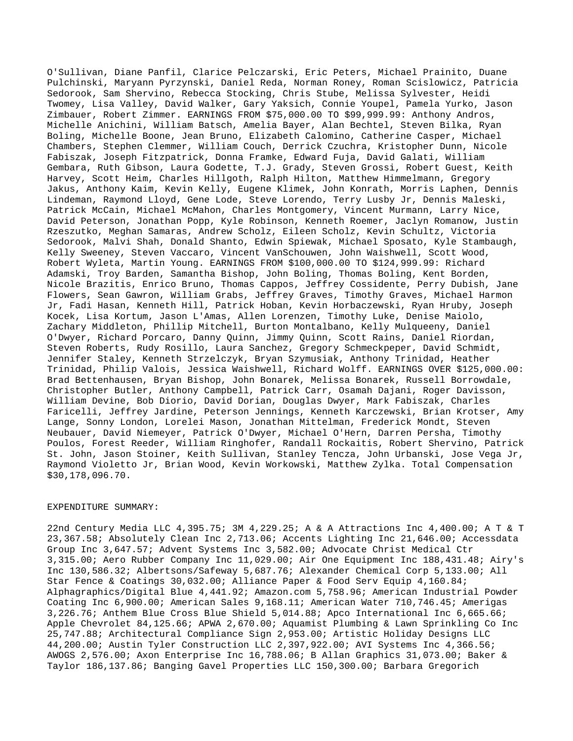O'Sullivan, Diane Panfil, Clarice Pelczarski, Eric Peters, Michael Prainito, Duane Pulchinski, Maryann Pyrzynski, Daniel Reda, Norman Roney, Roman Scislowicz, Patricia Sedorook, Sam Shervino, Rebecca Stocking, Chris Stube, Melissa Sylvester, Heidi Twomey, Lisa Valley, David Walker, Gary Yaksich, Connie Youpel, Pamela Yurko, Jason Zimbauer, Robert Zimmer. EARNINGS FROM \$75,000.00 TO \$99,999.99: Anthony Andros, Michelle Anichini, William Batsch, Amelia Bayer, Alan Bechtel, Steven Bilka, Ryan Boling, Michelle Boone, Jean Bruno, Elizabeth Calomino, Catherine Casper, Michael Chambers, Stephen Clemmer, William Couch, Derrick Czuchra, Kristopher Dunn, Nicole Fabiszak, Joseph Fitzpatrick, Donna Framke, Edward Fuja, David Galati, William Gembara, Ruth Gibson, Laura Godette, T.J. Grady, Steven Grossi, Robert Guest, Keith Harvey, Scott Heim, Charles Hillgoth, Ralph Hilton, Matthew Himmelmann, Gregory Jakus, Anthony Kaim, Kevin Kelly, Eugene Klimek, John Konrath, Morris Laphen, Dennis Lindeman, Raymond Lloyd, Gene Lode, Steve Lorendo, Terry Lusby Jr, Dennis Maleski, Patrick McCain, Michael McMahon, Charles Montgomery, Vincent Murmann, Larry Nice, David Peterson, Jonathan Popp, Kyle Robinson, Kenneth Roemer, Jaclyn Romanow, Justin Rzeszutko, Meghan Samaras, Andrew Scholz, Eileen Scholz, Kevin Schultz, Victoria Sedorook, Malvi Shah, Donald Shanto, Edwin Spiewak, Michael Sposato, Kyle Stambaugh, Kelly Sweeney, Steven Vaccaro, Vincent VanSchouwen, John Waishwell, Scott Wood, Robert Wyleta, Martin Young. EARNINGS FROM \$100,000.00 TO \$124,999.99: Richard Adamski, Troy Barden, Samantha Bishop, John Boling, Thomas Boling, Kent Borden, Nicole Brazitis, Enrico Bruno, Thomas Cappos, Jeffrey Cossidente, Perry Dubish, Jane Flowers, Sean Gawron, William Grabs, Jeffrey Graves, Timothy Graves, Michael Harmon Jr, Fadi Hasan, Kenneth Hill, Patrick Hoban, Kevin Horbaczewski, Ryan Hruby, Joseph Kocek, Lisa Kortum, Jason L'Amas, Allen Lorenzen, Timothy Luke, Denise Maiolo, Zachary Middleton, Phillip Mitchell, Burton Montalbano, Kelly Mulqueeny, Daniel O'Dwyer, Richard Porcaro, Danny Quinn, Jimmy Quinn, Scott Rains, Daniel Riordan, Steven Roberts, Rudy Rosillo, Laura Sanchez, Gregory Schmeckpeper, David Schmidt, Jennifer Staley, Kenneth Strzelczyk, Bryan Szymusiak, Anthony Trinidad, Heather Trinidad, Philip Valois, Jessica Waishwell, Richard Wolff. EARNINGS OVER \$125,000.00: Brad Bettenhausen, Bryan Bishop, John Bonarek, Melissa Bonarek, Russell Borrowdale, Christopher Butler, Anthony Campbell, Patrick Carr, Osamah Dajani, Roger Davisson, William Devine, Bob Diorio, David Dorian, Douglas Dwyer, Mark Fabiszak, Charles Faricelli, Jeffrey Jardine, Peterson Jennings, Kenneth Karczewski, Brian Krotser, Amy Lange, Sonny London, Lorelei Mason, Jonathan Mittelman, Frederick Mondt, Steven Neubauer, David Niemeyer, Patrick O'Dwyer, Michael O'Hern, Darren Persha, Timothy Poulos, Forest Reeder, William Ringhofer, Randall Rockaitis, Robert Shervino, Patrick St. John, Jason Stoiner, Keith Sullivan, Stanley Tencza, John Urbanski, Jose Vega Jr, Raymond Violetto Jr, Brian Wood, Kevin Workowski, Matthew Zylka. Total Compensation \$30,178,096.70.

## EXPENDITURE SUMMARY:

22nd Century Media LLC 4,395.75; 3M 4,229.25; A & A Attractions Inc 4,400.00; A T & T 23,367.58; Absolutely Clean Inc 2,713.06; Accents Lighting Inc 21,646.00; Accessdata Group Inc 3,647.57; Advent Systems Inc 3,582.00; Advocate Christ Medical Ctr 3,315.00; Aero Rubber Company Inc 11,029.00; Air One Equipment Inc 188,431.48; Airy's Inc 130,586.32; Albertsons/Safeway 5,687.76; Alexander Chemical Corp 5,133.00; All Star Fence & Coatings 30,032.00; Alliance Paper & Food Serv Equip 4,160.84; Alphagraphics/Digital Blue 4,441.92; Amazon.com 5,758.96; American Industrial Powder Coating Inc 6,900.00; American Sales 9,168.11; American Water 710,746.45; Amerigas 3,226.76; Anthem Blue Cross Blue Shield 5,014.88; Apco International Inc 6,665.66; Apple Chevrolet 84,125.66; APWA 2,670.00; Aquamist Plumbing & Lawn Sprinkling Co Inc 25,747.88; Architectural Compliance Sign 2,953.00; Artistic Holiday Designs LLC 44,200.00; Austin Tyler Construction LLC 2,397,922.00; AVI Systems Inc 4,366.56; AWOGS 2,576.00; Axon Enterprise Inc 16,788.06; B Allan Graphics 31,073.00; Baker & Taylor 186,137.86; Banging Gavel Properties LLC 150,300.00; Barbara Gregorich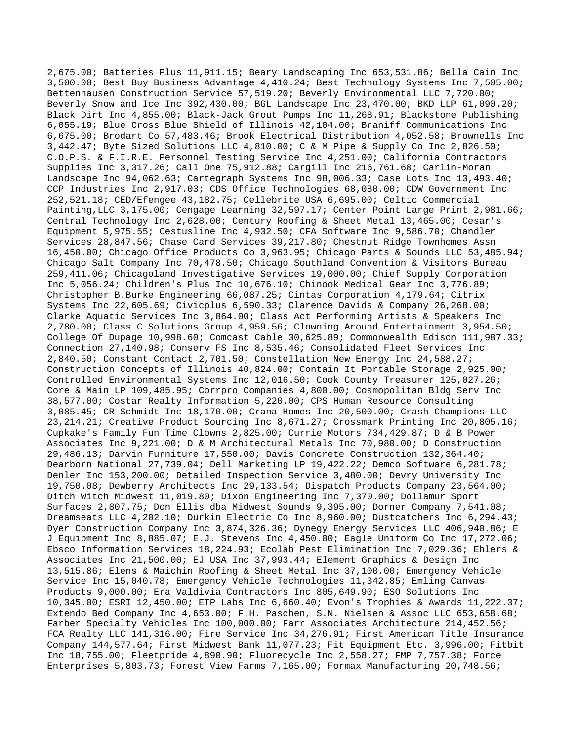2,675.00; Batteries Plus 11,911.15; Beary Landscaping Inc 653,531.86; Bella Cain Inc 3,500.00; Best Buy Business Advantage 4,410.24; Best Technology Systems Inc 7,505.00; Bettenhausen Construction Service 57,519.20; Beverly Environmental LLC 7,720.00; Beverly Snow and Ice Inc 392,430.00; BGL Landscape Inc 23,470.00; BKD LLP 61,090.20; Black Dirt Inc 4,855.00; Black-Jack Grout Pumps Inc 11,268.91; Blackstone Publishing 6,055.19; Blue Cross Blue Shield of Illinois 42,104.00; Braniff Communications Inc 6,675.00; Brodart Co 57,483.46; Brook Electrical Distribution 4,052.58; Brownells Inc 3,442.47; Byte Sized Solutions LLC 4,810.00; C & M Pipe & Supply Co Inc 2,826.50; C.O.P.S. & F.I.R.E. Personnel Testing Service Inc 4,251.00; California Contractors Supplies Inc 3,317.26; Call One 75,912.88; Cargill Inc 216,761.68; Carlin-Moran Landscape Inc 94,062.63; Cartegraph Systems Inc 98,006.33; Case Lots Inc 13,493.40; CCP Industries Inc 2,917.03; CDS Office Technologies 68,080.00; CDW Government Inc 252,521.18; CED/Efengee 43,182.75; Cellebrite USA 6,695.00; Celtic Commercial Painting,LLC 3,175.00; Cengage Learning 32,597.17; Center Point Large Print 2,981.66; Central Technology Inc 2,628.00; Century Roofing & Sheet Metal 13,465.00; Cesar's Equipment 5,975.55; Cestusline Inc 4,932.50; CFA Software Inc 9,586.70; Chandler Services 28,847.56; Chase Card Services 39,217.80; Chestnut Ridge Townhomes Assn 16,450.00; Chicago Office Products Co 3,963.95; Chicago Parts & Sounds LLC 53,485.94; Chicago Salt Company Inc 70,478.50; Chicago Southland Convention & Visitors Bureau 259,411.06; Chicagoland Investigative Services 19,000.00; Chief Supply Corporation Inc 5,056.24; Children's Plus Inc 10,676.10; Chinook Medical Gear Inc 3,776.89; Christopher B.Burke Engineering 66,087.25; Cintas Corporation 4,179.64; Citrix Systems Inc 22,605.69; Civicplus 6,590.33; Clarence Davids & Company 26,268.00; Clarke Aquatic Services Inc 3,864.00; Class Act Performing Artists & Speakers Inc 2,780.00; Class C Solutions Group 4,959.56; Clowning Around Entertainment 3,954.50; College Of Dupage 10,998.60; Comcast Cable 30,625.89; Commonwealth Edison 111,987.33; Connection 27,140.98; Conserv FS Inc 8,535.46; Consolidated Fleet Services Inc 2,840.50; Constant Contact 2,701.50; Constellation New Energy Inc 24,588.27; Construction Concepts of Illinois 40,824.00; Contain It Portable Storage 2,925.00; Controlled Environmental Systems Inc 12,016.50; Cook County Treasurer 125,027.26; Core & Main LP 109,485.95; Corrpro Companies 4,800.00; Cosmopolitan Bldg Serv Inc 38,577.00; Costar Realty Information 5,220.00; CPS Human Resource Consulting 3,085.45; CR Schmidt Inc 18,170.00; Crana Homes Inc 20,500.00; Crash Champions LLC 23,214.21; Creative Product Sourcing Inc 8,671.27; Crossmark Printing Inc 20,805.16; Cupkake's Family Fun Time Clowns 2,825.00; Currie Motors 734,429.87; D & B Power Associates Inc 9,221.00; D & M Architectural Metals Inc 70,980.00; D Construction 29,486.13; Darvin Furniture 17,550.00; Davis Concrete Construction 132,364.40; Dearborn National 27,739.04; Dell Marketing LP 19,422.22; Demco Software 6,281.78; Denler Inc 153,200.00; Detailed Inspection Service 3,480.00; Devry University Inc 19,750.08; Dewberry Architects Inc 29,133.54; Dispatch Products Company 23,564.00; Ditch Witch Midwest 11,019.80; Dixon Engineering Inc 7,370.00; Dollamur Sport Surfaces 2,807.75; Don Ellis dba Midwest Sounds 9,395.00; Dorner Company 7,541.08; Dreamseats LLC 4,202.10; Durkin Electric Co Inc 8,960.00; Dustcatchers Inc 6,294.43; Dyer Construction Company Inc 3,874,326.36; Dynegy Energy Services LLC 406,940.86; E J Equipment Inc 8,885.07; E.J. Stevens Inc 4,450.00; Eagle Uniform Co Inc 17,272.06; Ebsco Information Services 18,224.93; Ecolab Pest Elimination Inc 7,029.36; Ehlers & Associates Inc 21,500.00; EJ USA Inc 37,993.44; Element Graphics & Design Inc 13,515.86; Elens & Maichin Roofing & Sheet Metal Inc 37,100.00; Emergency Vehicle Service Inc 15,040.78; Emergency Vehicle Technologies 11,342.85; Emling Canvas Products 9,000.00; Era Valdivia Contractors Inc 805,649.90; ESO Solutions Inc 10,345.00; ESRI 12,450.00; ETP Labs Inc 6,660.40; Evon's Trophies & Awards 11,222.37; Extendo Bed Company Inc 4,653.00; F.H. Paschen, S.N. Nielsen & Assoc LLC 653,658.68; Farber Specialty Vehicles Inc 100,000.00; Farr Associates Architecture 214,452.56; FCA Realty LLC 141,316.00; Fire Service Inc 34,276.91; First American Title Insurance Company 144,577.64; First Midwest Bank 11,077.23; Fit Equipment Etc. 3,996.00; Fitbit Inc 18,755.00; Fleetpride 4,890.90; Fluorecycle Inc 2,558.27; FMP 7,757.38; Force Enterprises 5,803.73; Forest View Farms 7,165.00; Formax Manufacturing 20,748.56;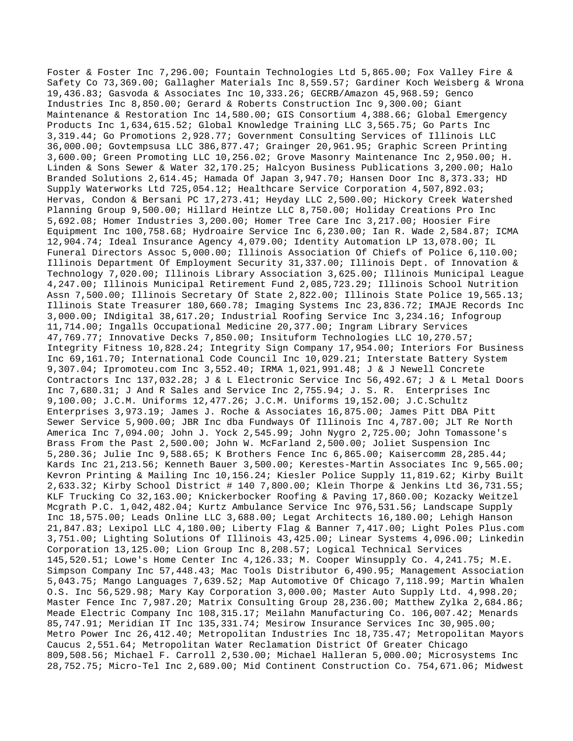Foster & Foster Inc 7,296.00; Fountain Technologies Ltd 5,865.00; Fox Valley Fire & Safety Co 73,369.00; Gallagher Materials Inc 8,559.57; Gardiner Koch Weisberg & Wrona 19,436.83; Gasvoda & Associates Inc 10,333.26; GECRB/Amazon 45,968.59; Genco Industries Inc 8,850.00; Gerard & Roberts Construction Inc 9,300.00; Giant Maintenance & Restoration Inc 14,580.00; GIS Consortium 4,388.66; Global Emergency Products Inc 1,634,615.52; Global Knowledge Training LLC 3,565.75; Go Parts Inc 3,319.44; Go Promotions 2,928.77; Government Consulting Services of Illinois LLC 36,000.00; Govtempsusa LLC 386,877.47; Grainger 20,961.95; Graphic Screen Printing 3,600.00; Green Promoting LLC 10,256.02; Grove Masonry Maintenance Inc 2,950.00; H. Linden & Sons Sewer & Water 32,170.25; Halcyon Business Publications 3,200.00; Halo Branded Solutions 2,614.45; Hamada Of Japan 3,947.70; Hansen Door Inc 8,373.33; HD Supply Waterworks Ltd 725,054.12; Healthcare Service Corporation 4,507,892.03; Hervas, Condon & Bersani PC 17,273.41; Heyday LLC 2,500.00; Hickory Creek Watershed Planning Group 9,500.00; Hillard Heintze LLC 8,750.00; Holiday Creations Pro Inc 5,692.08; Homer Industries 3,200.00; Homer Tree Care Inc 3,217.00; Hoosier Fire Equipment Inc 100,758.68; Hydroaire Service Inc 6,230.00; Ian R. Wade 2,584.87; ICMA 12,904.74; Ideal Insurance Agency 4,079.00; Identity Automation LP 13,078.00; IL Funeral Directors Assoc 5,000.00; Illinois Association Of Chiefs of Police 6,110.00; Illinois Department Of Employment Security 31,337.00; Illinois Dept. of Innovation & Technology 7,020.00; Illinois Library Association 3,625.00; Illinois Municipal League 4,247.00; Illinois Municipal Retirement Fund 2,085,723.29; Illinois School Nutrition Assn 7,500.00; Illinois Secretary Of State 2,822.00; Illinois State Police 19,565.13; Illinois State Treasurer 180,660.78; Imaging Systems Inc 23,836.72; IMAJE Records Inc 3,000.00; INdigital 38,617.20; Industrial Roofing Service Inc 3,234.16; Infogroup 11,714.00; Ingalls Occupational Medicine 20,377.00; Ingram Library Services 47,769.77; Innovative Decks 7,850.00; Insituform Technologies LLC 10,270.57; Integrity Fitness 10,828.24; Integrity Sign Company 17,954.00; Interiors For Business Inc 69,161.70; International Code Council Inc 10,029.21; Interstate Battery System 9,307.04; Ipromoteu.com Inc 3,552.40; IRMA 1,021,991.48; J & J Newell Concrete Contractors Inc 137,032.28; J & L Electronic Service Inc 56,492.67; J & L Metal Doors Inc 7,680.31; J And R Sales and Service Inc 2,755.94; J. S. R. Enterprises Inc 9,100.00; J.C.M. Uniforms 12,477.26; J.C.M. Uniforms 19,152.00; J.C.Schultz Enterprises 3,973.19; James J. Roche & Associates 16,875.00; James Pitt DBA Pitt Sewer Service 5,900.00; JBR Inc dba Fundways Of Illinois Inc 4,787.00; JLT Re North America Inc 7,094.00; John J. Yock 2,545.99; John Nygro 2,725.00; John Tomassone's Brass From the Past 2,500.00; John W. McFarland 2,500.00; Joliet Suspension Inc 5,280.36; Julie Inc 9,588.65; K Brothers Fence Inc 6,865.00; Kaisercomm 28,285.44; Kards Inc 21,213.56; Kenneth Bauer 3,500.00; Kerestes-Martin Associates Inc 9,565.00; Kevron Printing & Mailing Inc 10,156.24; Kiesler Police Supply 11,819.62; Kirby Built 2,633.32; Kirby School District # 140 7,800.00; Klein Thorpe & Jenkins Ltd 36,731.55; KLF Trucking Co 32,163.00; Knickerbocker Roofing & Paving 17,860.00; Kozacky Weitzel Mcgrath P.C. 1,042,482.04; Kurtz Ambulance Service Inc 976,531.56; Landscape Supply Inc 18,575.00; Leads Online LLC 3,688.00; Legat Architects 16,180.00; Lehigh Hanson 21,847.83; Lexipol LLC 4,180.00; Liberty Flag & Banner 7,417.00; Light Poles Plus.com 3,751.00; Lighting Solutions Of Illinois 43,425.00; Linear Systems 4,096.00; Linkedin Corporation 13,125.00; Lion Group Inc 8,208.57; Logical Technical Services 145,520.51; Lowe's Home Center Inc 4,126.33; M. Cooper Winsupply Co. 4,241.75; M.E. Simpson Company Inc 57,448.43; Mac Tools Distributor 6,490.95; Management Association 5,043.75; Mango Languages 7,639.52; Map Automotive Of Chicago 7,118.99; Martin Whalen O.S. Inc 56,529.98; Mary Kay Corporation 3,000.00; Master Auto Supply Ltd. 4,998.20; Master Fence Inc 7,987.20; Matrix Consulting Group 28,236.00; Matthew Zylka 2,684.86; Meade Electric Company Inc 108,315.17; Meilahn Manufacturing Co. 106,007.42; Menards 85,747.91; Meridian IT Inc 135,331.74; Mesirow Insurance Services Inc 30,905.00; Metro Power Inc 26,412.40; Metropolitan Industries Inc 18,735.47; Metropolitan Mayors Caucus 2,551.64; Metropolitan Water Reclamation District Of Greater Chicago 809,508.56; Michael F. Carroll 2,530.00; Michael Halleran 5,000.00; Microsystems Inc 28,752.75; Micro-Tel Inc 2,689.00; Mid Continent Construction Co. 754,671.06; Midwest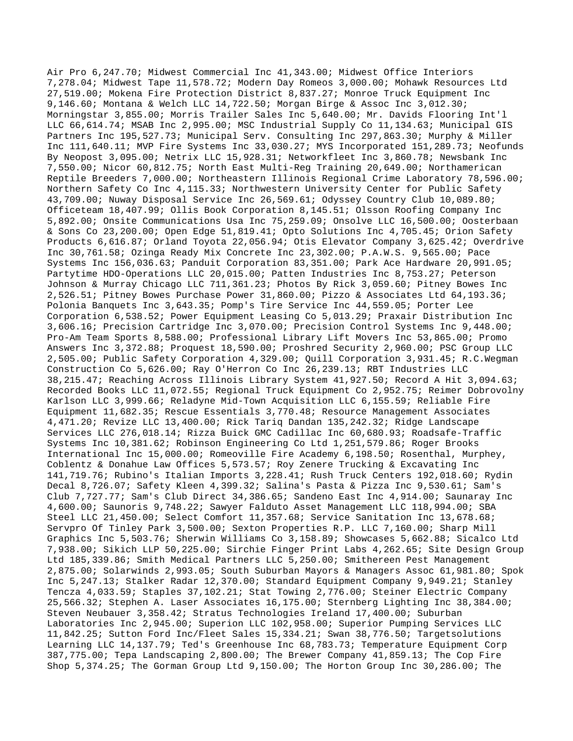Air Pro 6,247.70; Midwest Commercial Inc 41,343.00; Midwest Office Interiors 7,278.04; Midwest Tape 11,578.72; Modern Day Romeos 3,000.00; Mohawk Resources Ltd 27,519.00; Mokena Fire Protection District 8,837.27; Monroe Truck Equipment Inc 9,146.60; Montana & Welch LLC 14,722.50; Morgan Birge & Assoc Inc 3,012.30; Morningstar 3,855.00; Morris Trailer Sales Inc 5,640.00; Mr. Davids Flooring Int'l LLC 66,614.74; MSAB Inc 2,995.00; MSC Industrial Supply Co 11,134.63; Municipal GIS Partners Inc 195,527.73; Municipal Serv. Consulting Inc 297,863.30; Murphy & Miller Inc 111,640.11; MVP Fire Systems Inc 33,030.27; MYS Incorporated 151,289.73; Neofunds By Neopost 3,095.00; Netrix LLC 15,928.31; Networkfleet Inc 3,860.78; Newsbank Inc 7,550.00; Nicor 60,812.75; North East Multi-Reg Training 20,649.00; Northamerican Reptile Breeders 7,000.00; Northeastern Illinois Regional Crime Laboratory 78,596.00; Northern Safety Co Inc 4,115.33; Northwestern University Center for Public Safety 43,709.00; Nuway Disposal Service Inc 26,569.61; Odyssey Country Club 10,089.80; Officeteam 18,407.99; Ollis Book Corporation 8,145.51; Olsson Roofing Company Inc 5,892.00; Onsite Communications Usa Inc 75,259.09; Onsolve LLC 16,500.00; Oosterbaan & Sons Co 23,200.00; Open Edge 51,819.41; Opto Solutions Inc 4,705.45; Orion Safety Products 6,616.87; Orland Toyota 22,056.94; Otis Elevator Company 3,625.42; Overdrive Inc 30,761.58; Ozinga Ready Mix Concrete Inc 23,302.00; P.A.W.S. 9,565.00; Pace Systems Inc 156,036.63; Panduit Corporation 83,351.00; Park Ace Hardware 20,991.05; Partytime HDO-Operations LLC 20,015.00; Patten Industries Inc 8,753.27; Peterson Johnson & Murray Chicago LLC 711,361.23; Photos By Rick 3,059.60; Pitney Bowes Inc 2,526.51; Pitney Bowes Purchase Power 31,860.00; Pizzo & Associates Ltd 64,193.36; Polonia Banquets Inc 3,643.35; Pomp's Tire Service Inc 44,559.05; Porter Lee Corporation 6,538.52; Power Equipment Leasing Co 5,013.29; Praxair Distribution Inc 3,606.16; Precision Cartridge Inc 3,070.00; Precision Control Systems Inc 9,448.00; Pro-Am Team Sports 8,588.00; Professional Library Lift Movers Inc 53,865.00; Promo Answers Inc 3,372.88; Proquest 18,590.00; Proshred Security 2,960.00; PSC Group LLC 2,505.00; Public Safety Corporation 4,329.00; Quill Corporation 3,931.45; R.C.Wegman Construction Co 5,626.00; Ray O'Herron Co Inc 26,239.13; RBT Industries LLC 38,215.47; Reaching Across Illinois Library System 41,927.50; Record A Hit 3,094.63; Recorded Books LLC 11,072.55; Regional Truck Equipment Co 2,952.75; Reimer Dobrovolny Karlson LLC 3,999.66; Reladyne Mid-Town Acquisition LLC 6,155.59; Reliable Fire Equipment 11,682.35; Rescue Essentials 3,770.48; Resource Management Associates 4,471.20; Revize LLC 13,400.00; Rick Tariq Dandan 135,242.32; Ridge Landscape Services LLC 276,018.14; Rizza Buick GMC Cadillac Inc 60,680.93; Roadsafe-Traffic Systems Inc 10,381.62; Robinson Engineering Co Ltd 1,251,579.86; Roger Brooks International Inc 15,000.00; Romeoville Fire Academy 6,198.50; Rosenthal, Murphey, Coblentz & Donahue Law Offices 5,573.57; Roy Zenere Trucking & Excavating Inc 141,719.76; Rubino's Italian Imports 3,228.41; Rush Truck Centers 192,018.60; Rydin Decal 8,726.07; Safety Kleen 4,399.32; Salina's Pasta & Pizza Inc 9,530.61; Sam's Club 7,727.77; Sam's Club Direct 34,386.65; Sandeno East Inc 4,914.00; Saunaray Inc 4,600.00; Saunoris 9,748.22; Sawyer Falduto Asset Management LLC 118,994.00; SBA Steel LLC 21,450.00; Select Comfort 11,357.68; Service Sanitation Inc 13,678.68; Servpro Of Tinley Park 3,500.00; Sexton Properties R.P. LLC 7,160.00; Sharp Mill Graphics Inc 5,503.76; Sherwin Williams Co 3,158.89; Showcases 5,662.88; Sicalco Ltd 7,938.00; Sikich LLP 50,225.00; Sirchie Finger Print Labs 4,262.65; Site Design Group Ltd 185,339.86; Smith Medical Partners LLC 5,250.00; Smithereen Pest Management 2,875.00; Solarwinds 2,993.05; South Suburban Mayors & Managers Assoc 61,981.80; Spok Inc 5,247.13; Stalker Radar 12,370.00; Standard Equipment Company 9,949.21; Stanley Tencza 4,033.59; Staples 37,102.21; Stat Towing 2,776.00; Steiner Electric Company 25,566.32; Stephen A. Laser Associates 16,175.00; Sternberg Lighting Inc 38,384.00; Steven Neubauer 3,358.42; Stratus Technologies Ireland 17,400.00; Suburban Laboratories Inc 2,945.00; Superion LLC 102,958.00; Superior Pumping Services LLC 11,842.25; Sutton Ford Inc/Fleet Sales 15,334.21; Swan 38,776.50; Targetsolutions Learning LLC 14,137.79; Ted's Greenhouse Inc 68,783.73; Temperature Equipment Corp 387,775.00; Tepa Landscaping 2,800.00; The Brewer Company 41,859.13; The Cop Fire Shop 5,374.25; The Gorman Group Ltd 9,150.00; The Horton Group Inc 30,286.00; The